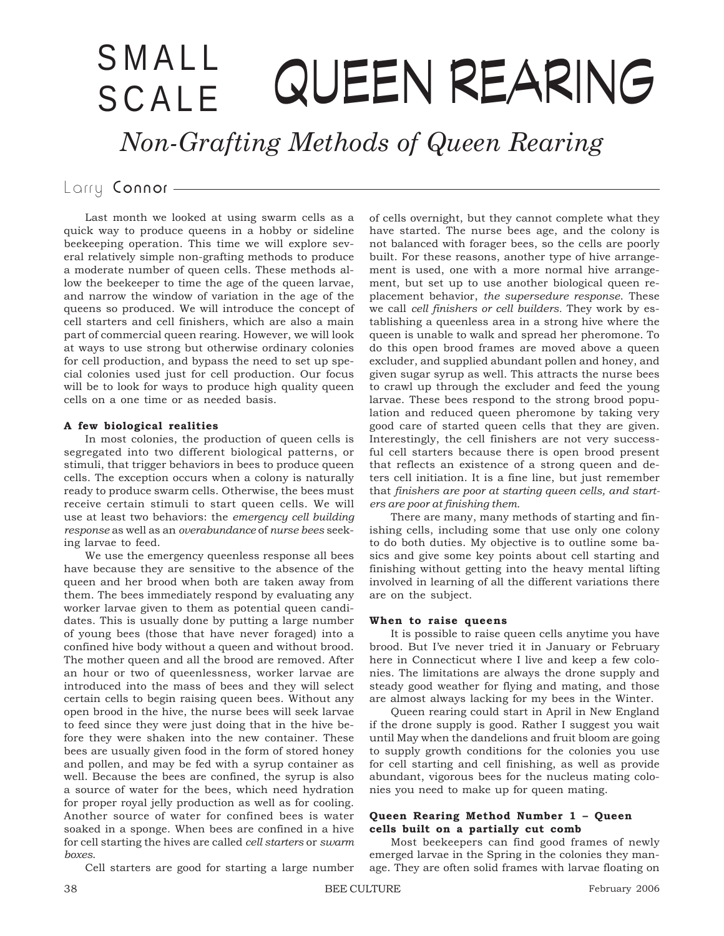# SMALL QUEEN REARING SCALE

*Non-Grafting Methods of Queen Rearing*

# Larry Connor-

Last month we looked at using swarm cells as a quick way to produce queens in a hobby or sideline beekeeping operation. This time we will explore several relatively simple non-grafting methods to produce a moderate number of queen cells. These methods allow the beekeeper to time the age of the queen larvae, and narrow the window of variation in the age of the queens so produced. We will introduce the concept of cell starters and cell finishers, which are also a main part of commercial queen rearing. However, we will look at ways to use strong but otherwise ordinary colonies for cell production, and bypass the need to set up special colonies used just for cell production. Our focus will be to look for ways to produce high quality queen cells on a one time or as needed basis.

#### **A few biological realities**

In most colonies, the production of queen cells is segregated into two different biological patterns, or stimuli, that trigger behaviors in bees to produce queen cells. The exception occurs when a colony is naturally ready to produce swarm cells. Otherwise, the bees must receive certain stimuli to start queen cells. We will use at least two behaviors: the *emergency cell building response* as well as an *overabundance* of *nurse bees* seeking larvae to feed.

We use the emergency queenless response all bees have because they are sensitive to the absence of the queen and her brood when both are taken away from them. The bees immediately respond by evaluating any worker larvae given to them as potential queen candidates. This is usually done by putting a large number of young bees (those that have never foraged) into a confined hive body without a queen and without brood. The mother queen and all the brood are removed. After an hour or two of queenlessness, worker larvae are introduced into the mass of bees and they will select certain cells to begin raising queen bees. Without any open brood in the hive, the nurse bees will seek larvae to feed since they were just doing that in the hive before they were shaken into the new container. These bees are usually given food in the form of stored honey and pollen, and may be fed with a syrup container as well. Because the bees are confined, the syrup is also a source of water for the bees, which need hydration for proper royal jelly production as well as for cooling. Another source of water for confined bees is water soaked in a sponge. When bees are confined in a hive for cell starting the hives are called *cell starters* or *swarm boxes*.

Cell starters are good for starting a large number

of cells overnight, but they cannot complete what they have started. The nurse bees age, and the colony is not balanced with forager bees, so the cells are poorly built. For these reasons, another type of hive arrangement is used, one with a more normal hive arrangement, but set up to use another biological queen replacement behavior, *the supersedure response*. These we call *cell finishers or cell builders.* They work by establishing a queenless area in a strong hive where the queen is unable to walk and spread her pheromone. To do this open brood frames are moved above a queen excluder, and supplied abundant pollen and honey, and given sugar syrup as well. This attracts the nurse bees to crawl up through the excluder and feed the young larvae. These bees respond to the strong brood population and reduced queen pheromone by taking very good care of started queen cells that they are given. Interestingly, the cell finishers are not very successful cell starters because there is open brood present that reflects an existence of a strong queen and deters cell initiation. It is a fine line, but just remember that *finishers are poor at starting queen cells, and starters are poor at finishing them.*

There are many, many methods of starting and finishing cells, including some that use only one colony to do both duties. My objective is to outline some basics and give some key points about cell starting and finishing without getting into the heavy mental lifting involved in learning of all the different variations there are on the subject.

#### **When to raise queens**

It is possible to raise queen cells anytime you have brood. But I've never tried it in January or February here in Connecticut where I live and keep a few colonies. The limitations are always the drone supply and steady good weather for flying and mating, and those are almost always lacking for my bees in the Winter.

Queen rearing could start in April in New England if the drone supply is good. Rather I suggest you wait until May when the dandelions and fruit bloom are going to supply growth conditions for the colonies you use for cell starting and cell finishing, as well as provide abundant, vigorous bees for the nucleus mating colonies you need to make up for queen mating.

### **Queen Rearing Method Number 1 – Queen cells built on a partially cut comb**

Most beekeepers can find good frames of newly emerged larvae in the Spring in the colonies they manage. They are often solid frames with larvae floating on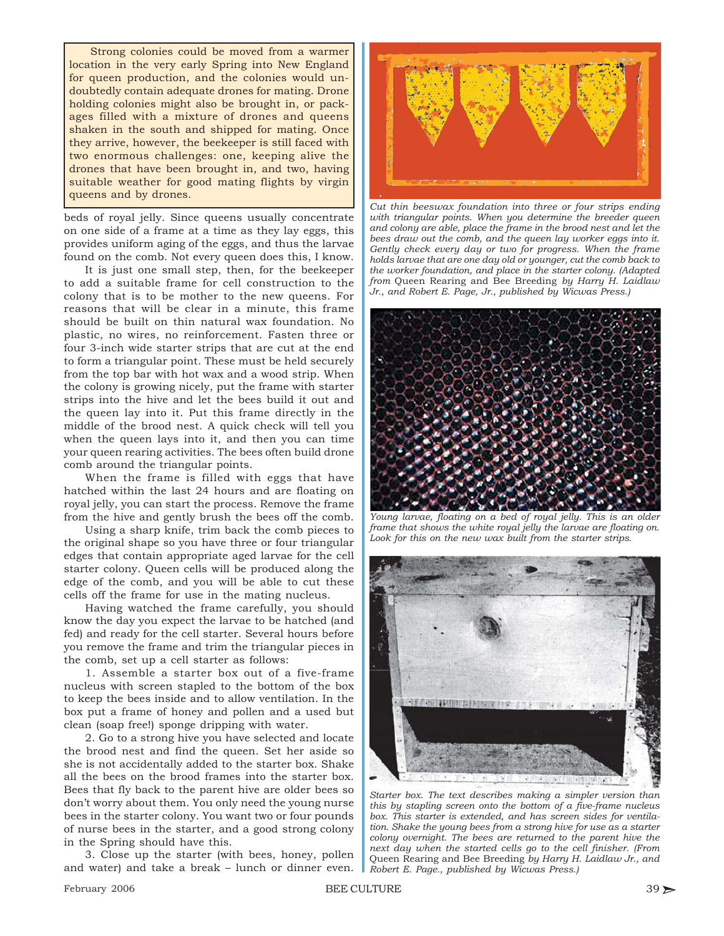Strong colonies could be moved from a warmer location in the very early Spring into New England for queen production, and the colonies would undoubtedly contain adequate drones for mating. Drone holding colonies might also be brought in, or packages filled with a mixture of drones and queens shaken in the south and shipped for mating. Once they arrive, however, the beekeeper is still faced with two enormous challenges: one, keeping alive the drones that have been brought in, and two, having suitable weather for good mating flights by virgin queens and by drones.

beds of royal jelly. Since queens usually concentrate on one side of a frame at a time as they lay eggs, this provides uniform aging of the eggs, and thus the larvae found on the comb. Not every queen does this, I know.

It is just one small step, then, for the beekeeper to add a suitable frame for cell construction to the colony that is to be mother to the new queens. For reasons that will be clear in a minute, this frame should be built on thin natural wax foundation. No plastic, no wires, no reinforcement. Fasten three or four 3-inch wide starter strips that are cut at the end to form a triangular point. These must be held securely from the top bar with hot wax and a wood strip. When the colony is growing nicely, put the frame with starter strips into the hive and let the bees build it out and the queen lay into it. Put this frame directly in the middle of the brood nest. A quick check will tell you when the queen lays into it, and then you can time your queen rearing activities. The bees often build drone comb around the triangular points.

When the frame is filled with eggs that have hatched within the last 24 hours and are floating on royal jelly, you can start the process. Remove the frame from the hive and gently brush the bees off the comb.

Using a sharp knife, trim back the comb pieces to the original shape so you have three or four triangular edges that contain appropriate aged larvae for the cell starter colony. Queen cells will be produced along the edge of the comb, and you will be able to cut these cells off the frame for use in the mating nucleus.

Having watched the frame carefully, you should know the day you expect the larvae to be hatched (and fed) and ready for the cell starter. Several hours before you remove the frame and trim the triangular pieces in the comb, set up a cell starter as follows:

1. Assemble a starter box out of a five-frame nucleus with screen stapled to the bottom of the box to keep the bees inside and to allow ventilation. In the box put a frame of honey and pollen and a used but clean (soap free!) sponge dripping with water.

2. Go to a strong hive you have selected and locate the brood nest and find the queen. Set her aside so she is not accidentally added to the starter box. Shake all the bees on the brood frames into the starter box. Bees that fly back to the parent hive are older bees so don't worry about them. You only need the young nurse bees in the starter colony. You want two or four pounds of nurse bees in the starter, and a good strong colony in the Spring should have this.

3. Close up the starter (with bees, honey, pollen and water) and take a break – lunch or dinner even.



*Cut thin beeswax foundation into three or four strips ending with triangular points. When you determine the breeder queen and colony are able, place the frame in the brood nest and let the bees draw out the comb, and the queen lay worker eggs into it. Gently check every day or two for progress. When the frame holds larvae that are one day old or younger, cut the comb back to the worker foundation, and place in the starter colony. (Adapted from* Queen Rearing and Bee Breeding *by Harry H. Laidlaw Jr., and Robert E. Page, Jr., published by Wicwas Press.)*



*Young larvae, floating on a bed of royal jelly. This is an older frame that shows the white royal jelly the larvae are floating on. Look for this on the new wax built from the starter strips.*



*Starter box. The text describes making a simpler version than this by stapling screen onto the bottom of a five-frame nucleus box. This starter is extended, and has screen sides for ventilation. Shake the young bees from a strong hive for use as a starter colony overnight. The bees are returned to the parent hive the next day when the started cells go to the cell finisher. (From* Queen Rearing and Bee Breeding *by Harry H. Laidlaw Jr., and Robert E. Page., published by Wicwas Press.)*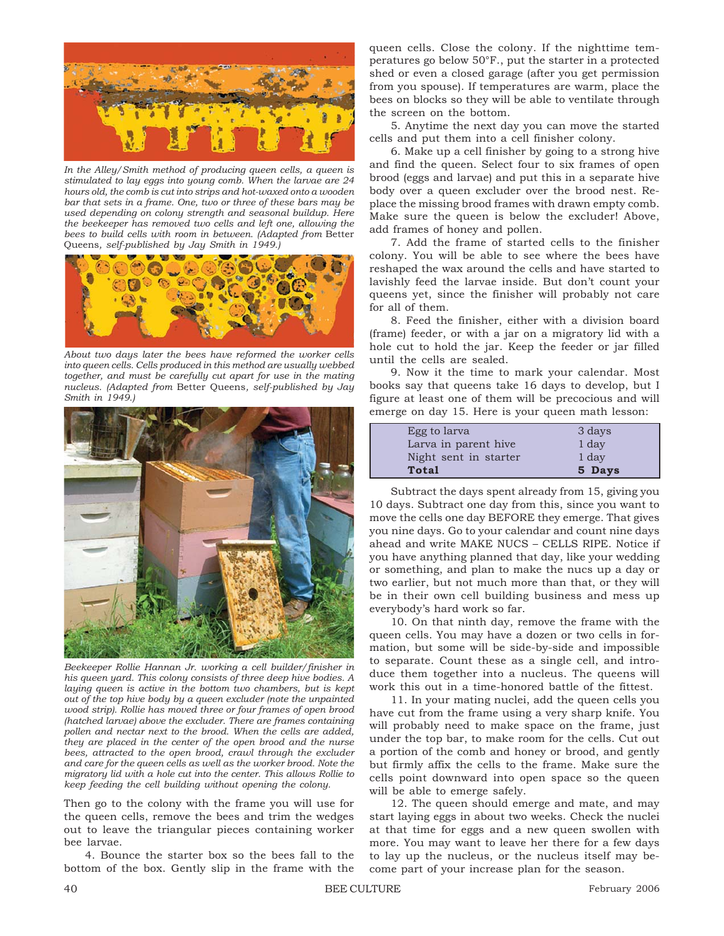

*In the Alley/Smith method of producing queen cells, a queen is stimulated to lay eggs into young comb. When the larvae are 24 hours old, the comb is cut into strips and hot-waxed onto a wooden bar that sets in a frame. One, two or three of these bars may be used depending on colony strength and seasonal buildup. Here the beekeeper has removed two cells and left one, allowing the bees to build cells with room in between. (Adapted from* Better Queens*, self-published by Jay Smith in 1949.)*



*About two days later the bees have reformed the worker cells into queen cells. Cells produced in this method are usually webbed together, and must be carefully cut apart for use in the mating nucleus. (Adapted from* Better Queens*, self-published by Jay Smith in 1949.)*



*Beekeeper Rollie Hannan Jr. working a cell builder/finisher in his queen yard. This colony consists of three deep hive bodies. A laying queen is active in the bottom two chambers, but is kept out of the top hive body by a queen excluder (note the unpainted wood strip). Rollie has moved three or four frames of open brood (hatched larvae) above the excluder. There are frames containing pollen and nectar next to the brood. When the cells are added, they are placed in the center of the open brood and the nurse bees, attracted to the open brood, crawl through the excluder and care for the queen cells as well as the worker brood. Note the migratory lid with a hole cut into the center. This allows Rollie to keep feeding the cell building without opening the colony.*

Then go to the colony with the frame you will use for the queen cells, remove the bees and trim the wedges out to leave the triangular pieces containing worker bee larvae.

4. Bounce the starter box so the bees fall to the bottom of the box. Gently slip in the frame with the queen cells. Close the colony. If the nighttime temperatures go below 50°F., put the starter in a protected shed or even a closed garage (after you get permission from you spouse). If temperatures are warm, place the bees on blocks so they will be able to ventilate through the screen on the bottom.

5. Anytime the next day you can move the started cells and put them into a cell finisher colony.

6. Make up a cell finisher by going to a strong hive and find the queen. Select four to six frames of open brood (eggs and larvae) and put this in a separate hive body over a queen excluder over the brood nest. Replace the missing brood frames with drawn empty comb. Make sure the queen is below the excluder! Above, add frames of honey and pollen.

7. Add the frame of started cells to the finisher colony. You will be able to see where the bees have reshaped the wax around the cells and have started to lavishly feed the larvae inside. But don't count your queens yet, since the finisher will probably not care for all of them.

8. Feed the finisher, either with a division board (frame) feeder, or with a jar on a migratory lid with a hole cut to hold the jar. Keep the feeder or jar filled until the cells are sealed.

9. Now it the time to mark your calendar. Most books say that queens take 16 days to develop, but I figure at least one of them will be precocious and will emerge on day 15. Here is your queen math lesson:

| Egg to larva          | 3 days |
|-----------------------|--------|
| Larva in parent hive  | 1 day  |
| Night sent in starter | 1 day  |
| Total                 | 5 Days |

Subtract the days spent already from 15, giving you 10 days. Subtract one day from this, since you want to move the cells one day BEFORE they emerge. That gives you nine days. Go to your calendar and count nine days ahead and write MAKE NUCS – CELLS RIPE. Notice if you have anything planned that day, like your wedding or something, and plan to make the nucs up a day or two earlier, but not much more than that, or they will be in their own cell building business and mess up everybody's hard work so far.

10. On that ninth day, remove the frame with the queen cells. You may have a dozen or two cells in formation, but some will be side-by-side and impossible to separate. Count these as a single cell, and introduce them together into a nucleus. The queens will work this out in a time-honored battle of the fittest.

11. In your mating nuclei, add the queen cells you have cut from the frame using a very sharp knife. You will probably need to make space on the frame, just under the top bar, to make room for the cells. Cut out a portion of the comb and honey or brood, and gently but firmly affix the cells to the frame. Make sure the cells point downward into open space so the queen will be able to emerge safely.

12. The queen should emerge and mate, and may start laying eggs in about two weeks. Check the nuclei at that time for eggs and a new queen swollen with more. You may want to leave her there for a few days to lay up the nucleus, or the nucleus itself may become part of your increase plan for the season.